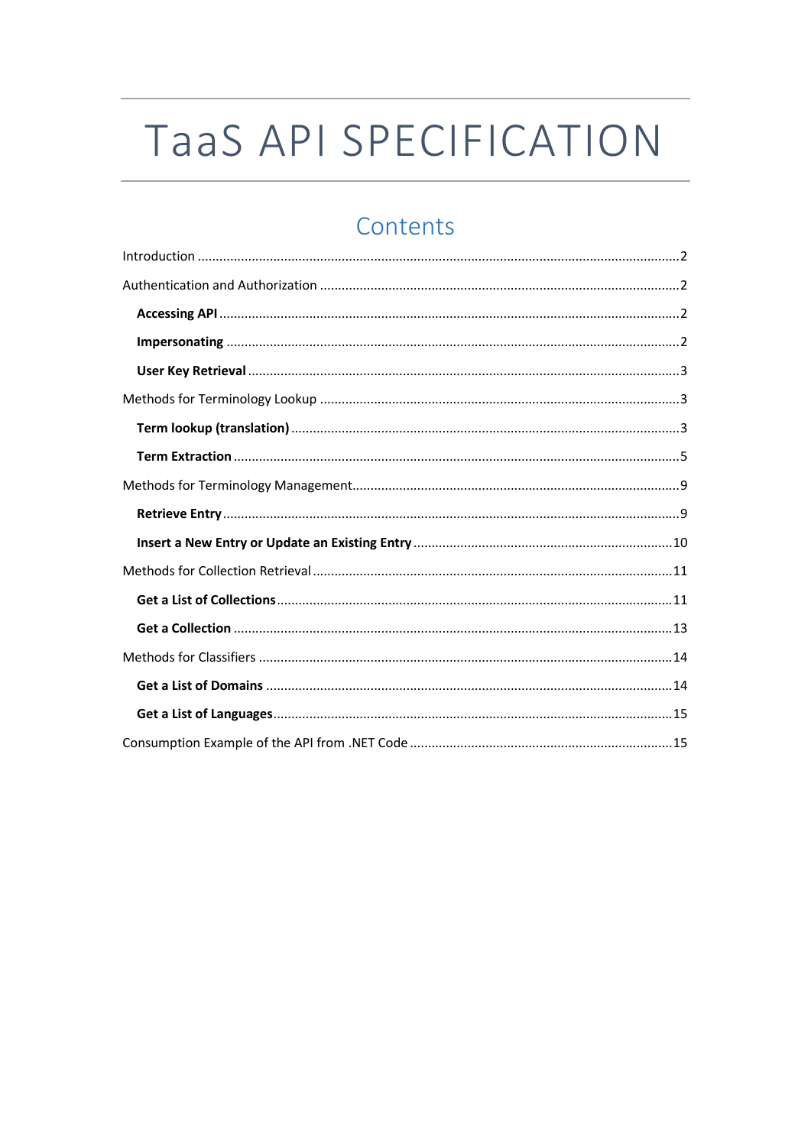# TaaS API SPECIFICATION

# Contents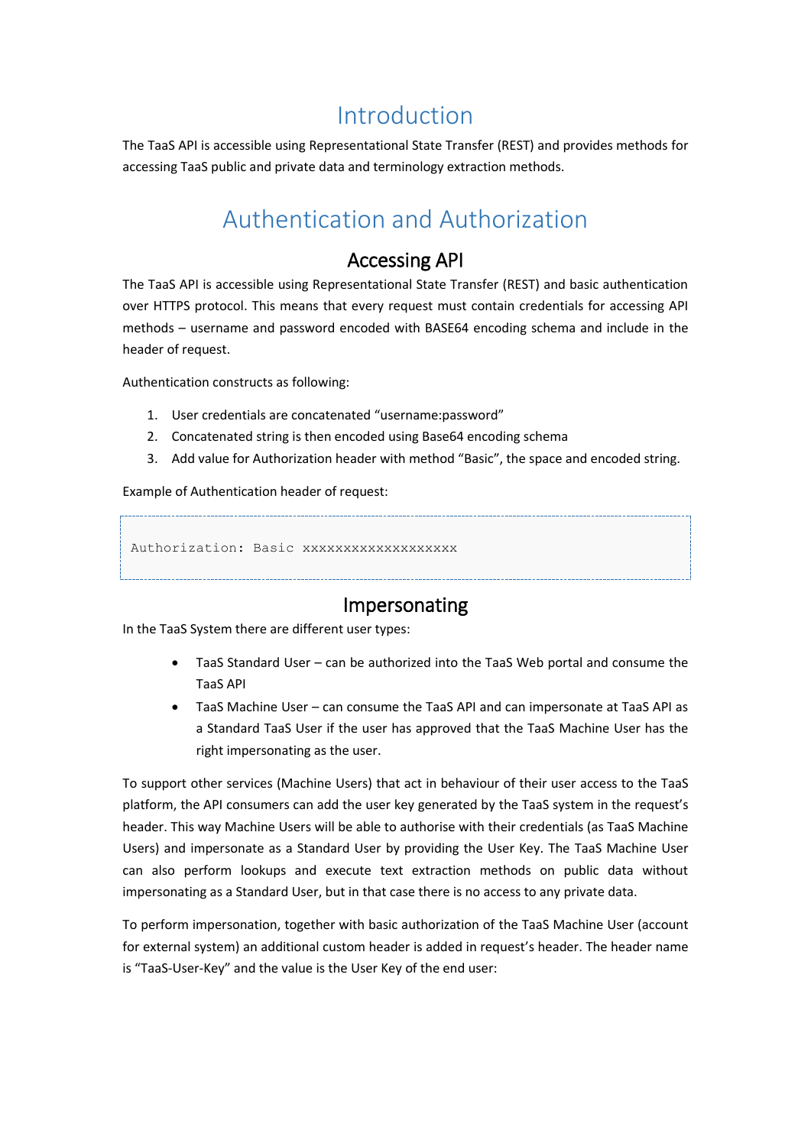# Introduction

<span id="page-1-1"></span><span id="page-1-0"></span>The TaaS API is accessible using Representational State Transfer (REST) and provides methods for accessing TaaS public and private data and terminology extraction methods.

# Authentication and Authorization

### Accessing API

<span id="page-1-2"></span>The TaaS API is accessible using Representational State Transfer (REST) and basic authentication over HTTPS protocol. This means that every request must contain credentials for accessing API methods – username and password encoded with BASE64 encoding schema and include in the header of request.

Authentication constructs as following:

- 1. User credentials are concatenated "username:password"
- 2. Concatenated string is then encoded using Base64 encoding schema
- 3. Add value for Authorization header with method "Basic", the space and encoded string.

Example of Authentication header of request:

Authorization: Basic xxxxxxxxxxxxxxxxxxx

### Impersonating

<span id="page-1-3"></span>In the TaaS System there are different user types:

- TaaS Standard User can be authorized into the TaaS Web portal and consume the TaaS API
- TaaS Machine User can consume the TaaS API and can impersonate at TaaS API as a Standard TaaS User if the user has approved that the TaaS Machine User has the right impersonating as the user.

To support other services (Machine Users) that act in behaviour of their user access to the TaaS platform, the API consumers can add the user key generated by the TaaS system in the request's header. This way Machine Users will be able to authorise with their credentials (as TaaS Machine Users) and impersonate as a Standard User by providing the User Key. The TaaS Machine User can also perform lookups and execute text extraction methods on public data without impersonating as a Standard User, but in that case there is no access to any private data.

To perform impersonation, together with basic authorization of the TaaS Machine User (account for external system) an additional custom header is added in request's header. The header name is "TaaS-User-Key" and the value is the User Key of the end user: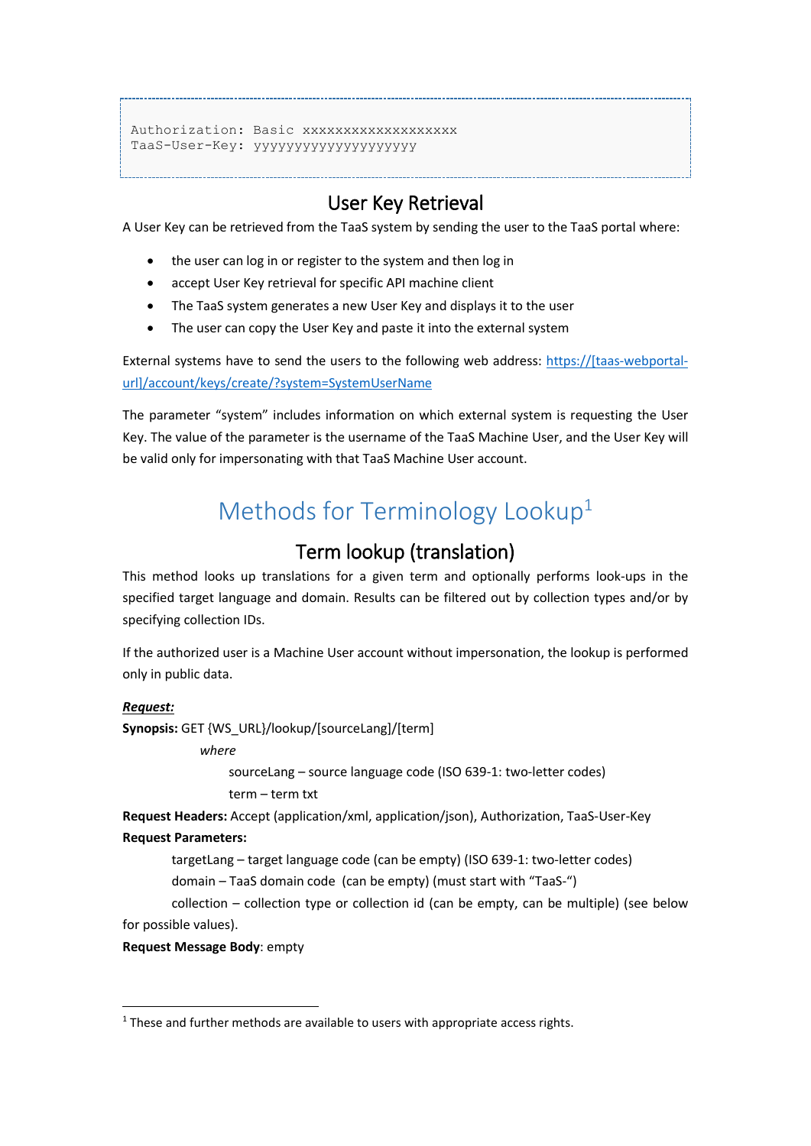```
Authorization: Basic xxxxxxxxxxxxxxxxxxx
TaaS-User-Key: yyyyyyyyyyyyyyyyyyyy
```
# User Key Retrieval

<span id="page-2-0"></span>A User Key can be retrieved from the TaaS system by sending the user to the TaaS portal where:

- the user can log in or register to the system and then log in
- accept User Key retrieval for specific API machine client
- The TaaS system generates a new User Key and displays it to the user
- The user can copy the User Key and paste it into the external system

External systems have to send the users to the following web address: [https://\[taas-webportal](https://[taas-webportal-url]/account/keys/create/?system=SystemUserName)[url\]/account/keys/create/?system=SystemUserName](https://[taas-webportal-url]/account/keys/create/?system=SystemUserName)

<span id="page-2-1"></span>The parameter "system" includes information on which external system is requesting the User Key. The value of the parameter is the username of the TaaS Machine User, and the User Key will be valid only for impersonating with that TaaS Machine User account.

# Methods for Terminology Lookup<sup>1</sup>

# Term lookup (translation)

<span id="page-2-2"></span>This method looks up translations for a given term and optionally performs look-ups in the specified target language and domain. Results can be filtered out by collection types and/or by specifying collection IDs.

If the authorized user is a Machine User account without impersonation, the lookup is performed only in public data.

#### *Request:*

**Synopsis:** GET {WS\_URL}/lookup/[sourceLang]/[term]

*where*

sourceLang – source language code (ISO 639-1: two-letter codes) term – term txt

**Request Headers:** Accept (application/xml, application/json), Authorization, TaaS-User-Key

#### **Request Parameters:**

targetLang – target language code (can be empty) (ISO 639-1: two-letter codes) domain – TaaS domain code (can be empty) (must start with "TaaS-")

collection – collection type or collection id (can be empty, can be multiple) (see below

for possible values).

-

**Request Message Body**: empty

 $1$  These and further methods are available to users with appropriate access rights.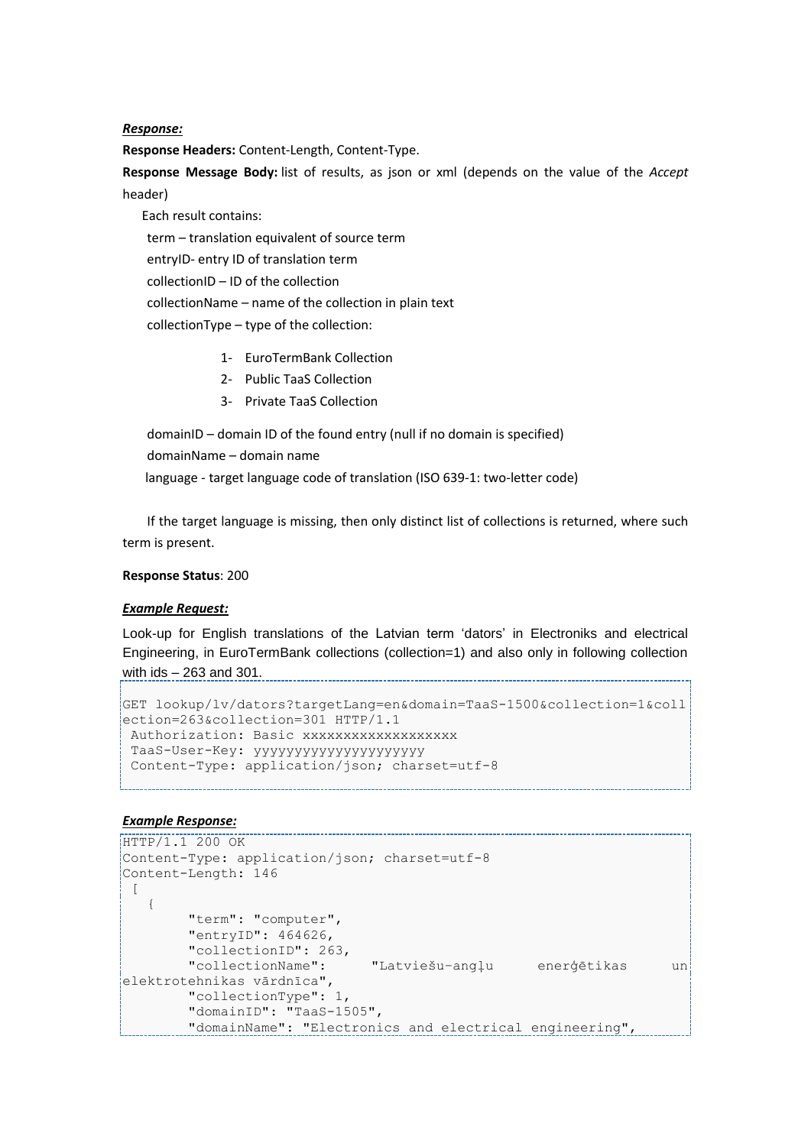#### *Response:*

**Response Headers:** Content-Length, Content-Type.

**Response Message Body:** list of results, as json or xml (depends on the value of the *Accept* header)

Each result contains:

term – translation equivalent of source term

entryID- entry ID of translation term

collectionID – ID of the collection

collectionName – name of the collection in plain text

collectionType – type of the collection:

- 1- EuroTermBank Collection
- 2- Public TaaS Collection
- 3- Private TaaS Collection

domainID – domain ID of the found entry (null if no domain is specified)

domainName – domain name

language - target language code of translation (ISO 639-1: two-letter code)

If the target language is missing, then only distinct list of collections is returned, where such term is present.

#### **Response Status**: 200

#### *Example Request:*

Look-up for English translations of the Latvian term 'dators' in Electroniks and electrical Engineering, in EuroTermBank collections (collection=1) and also only in following collection with ids – 263 and 301.

```
GET lookup/lv/dators?targetLang=en&domain=TaaS-1500&collection=1&coll
ection=263&collection=301 HTTP/1.1
Authorization: Basic xxxxxxxxxxxxxxxxxxx
TaaS-User-Key: yyyyyyyyyyyyyyyyyyyyy
Content-Type: application/json; charset=utf-8
```

```
HTTP/1.1 200 OK
Content-Type: application/json; charset=utf-8
Content-Length: 146 
 [
    {
         "term": "computer",
         "entryID": 464626,
         "collectionID": 263,
         "collectionName": "Latviešu–angļu enerģētikas un 
elektrotehnikas vārdnīca",
         "collectionType": 1,
         "domainID": "TaaS-1505",
         "domainName": "Electronics and electrical engineering",
```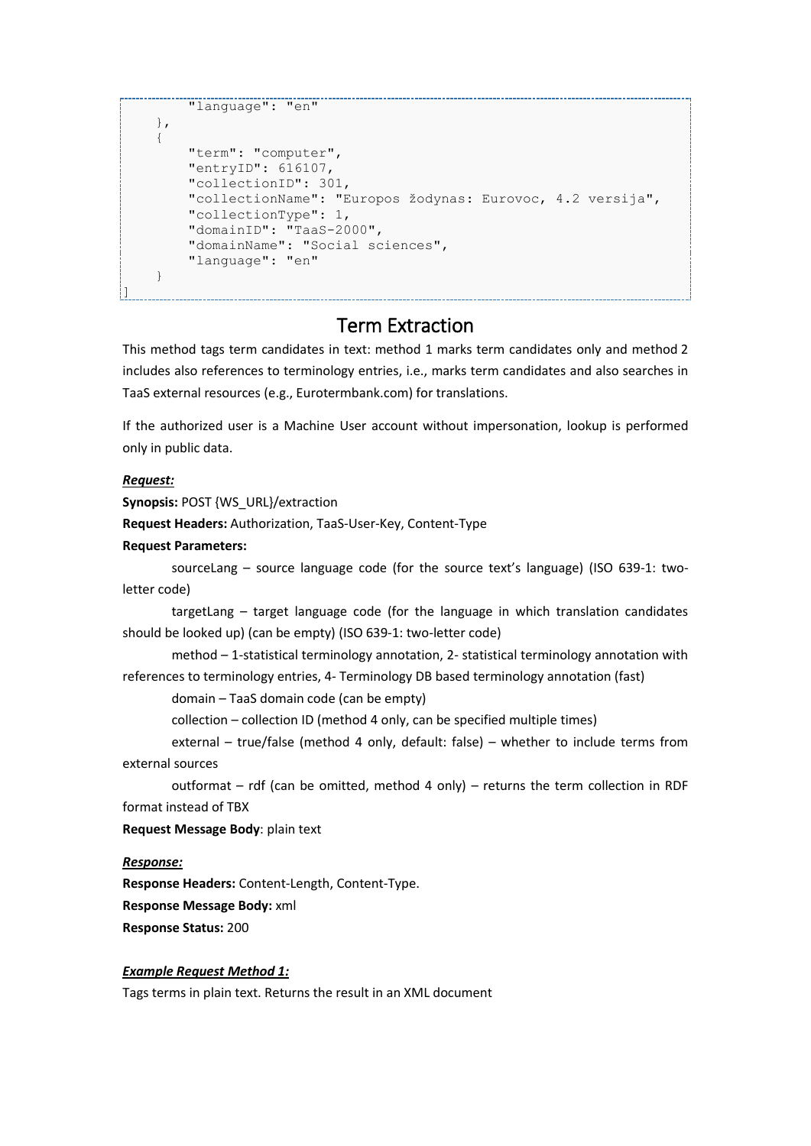```
 "language": "en"
     },
      {
          "term": "computer",
          "entryID": 616107,
          "collectionID": 301,
          "collectionName": "Europos žodynas: Eurovoc, 4.2 versija",
          "collectionType": 1,
          "domainID": "TaaS-2000",
          "domainName": "Social sciences",
          "language": "en"
      }
\mathop{\boxplus}
```
### Term Extraction

<span id="page-4-0"></span>This method tags term candidates in text: method 1 marks term candidates only and method 2 includes also references to terminology entries, i.e., marks term candidates and also searches in TaaS external resources (e.g., Eurotermbank.com) for translations.

If the authorized user is a Machine User account without impersonation, lookup is performed only in public data.

#### *Request:*

**Synopsis: POST {WS\_URL}/extraction** 

**Request Headers:** Authorization, TaaS-User-Key, Content-Type

#### **Request Parameters:**

sourceLang – source language code (for the source text's language) (ISO 639-1: twoletter code)

targetLang – target language code (for the language in which translation candidates should be looked up) (can be empty) (ISO 639-1: two-letter code)

method – 1-statistical terminology annotation, 2- statistical terminology annotation with references to terminology entries, 4- Terminology DB based terminology annotation (fast)

domain – TaaS domain code (can be empty)

collection – collection ID (method 4 only, can be specified multiple times)

external – true/false (method 4 only, default: false) – whether to include terms from external sources

outformat – rdf (can be omitted, method 4 only) – returns the term collection in RDF format instead of TBX

**Request Message Body**: plain text

#### *Response:*

**Response Headers:** Content-Length, Content-Type.

**Response Message Body:** xml

**Response Status:** 200

#### *Example Request Method 1:*

Tags terms in plain text. Returns the result in an XML document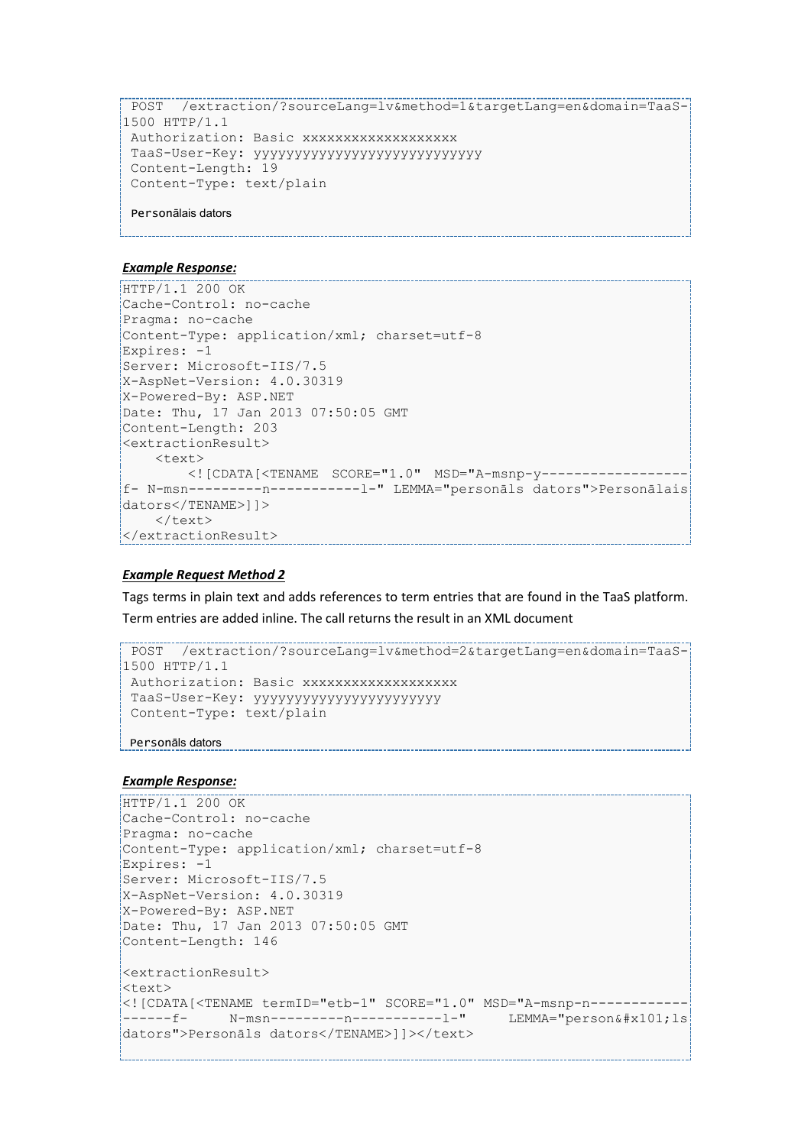```
POST /extraction/?sourceLang=lv&method=1&targetLang=en&domain=TaaS-
1500 HTTP/1.1
Authorization: Basic xxxxxxxxxxxxxxxxxxx
TaaS-User-Key: yyyyyyyyyyyyyyyyyyyyyyyyyyyy
Content-Length: 19
Content-Type: text/plain
Personālais dators
```
#### *Example Response:*

```
HTTP/1.1 200 OK
Cache-Control: no-cache
Pragma: no-cache
Content-Type: application/xml; charset=utf-8
Expires: -1
Server: Microsoft-IIS/7.5
X-AspNet-Version: 4.0.30319
X-Powered-By: ASP.NET
Date: Thu, 17 Jan 2013 07:50:05 GMT
Content-Length: 203 
<extractionResult>
    \langletext>
         <![CDATA[<TENAME SCORE="1.0" MSD="A-msnp-y------------------
f- N-msn---------n-----------l-" LEMMA="personāls dators">Personālais 
dators</TENAME>]]>
    \langle/text>
</extractionResult>
```
#### *Example Request Method 2*

Tags terms in plain text and adds references to term entries that are found in the TaaS platform. Term entries are added inline. The call returns the result in an XML document

```
POST /extraction/?sourceLang=lv&method=2&targetLang=en&domain=TaaS-
1500 HTTP/1.1
Authorization: Basic xxxxxxxxxxxxxxxxxx
 TaaS-User-Key: yyyyyyyyyyyyyyyyyyyyyyy
 Content-Type: text/plain 
Personāls dators
```

```
...................................<br>HTTP/1.1 200 OK
Cache-Control: no-cache
Pragma: no-cache
Content-Type: application/xml; charset=utf-8
Expires: -1
Server: Microsoft-IIS/7.5
X-AspNet-Version: 4.0.30319
X-Powered-By: ASP.NET
Date: Thu, 17 Jan 2013 07:50:05 GMT
Content-Length: 146 
<extractionResult>
<text>
<![CDATA[<TENAME termID="etb-1" SCORE="1.0" MSD="A-msnp-n------------
-----f-    N-msn---------n-------------1-" LEMMA="personā1s
dators">Personāls dators</TENAME>]]></text>
```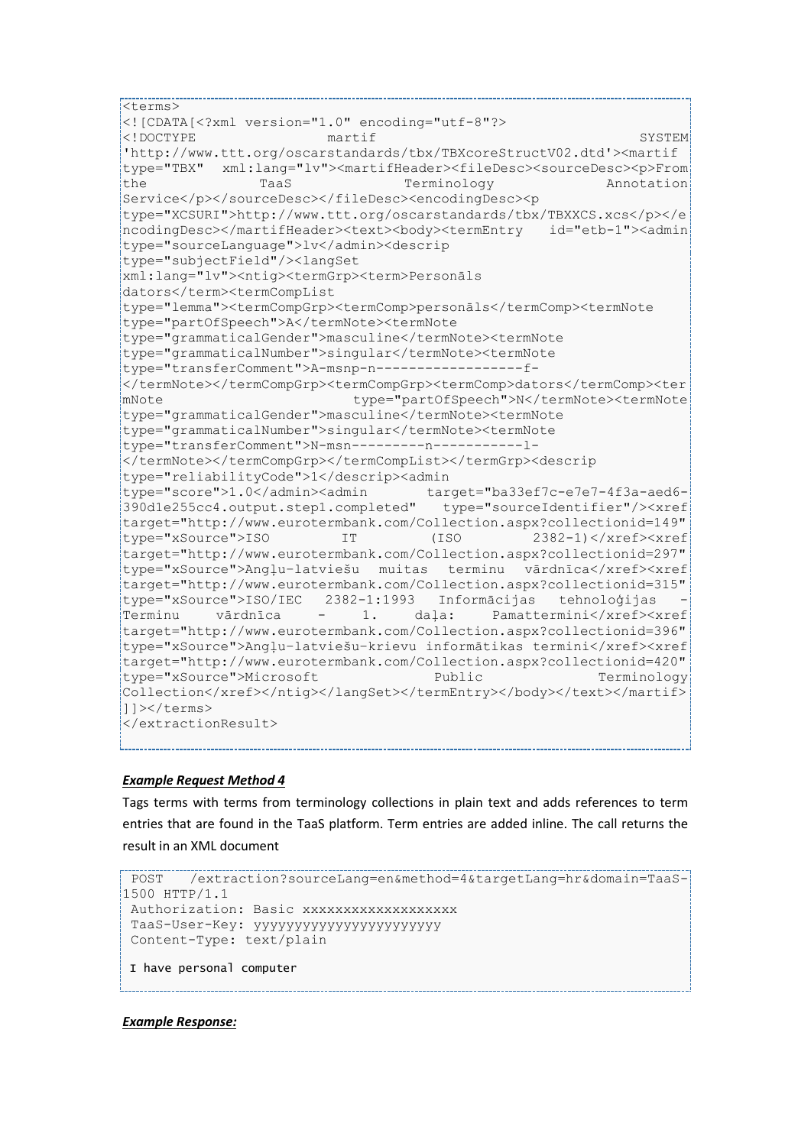```
<terms>
<![CDATA[<?xml version="1.0" encoding="utf-8"?>
<!DOCTYPE martif SYSTEM 
'http://www.ttt.org/oscarstandards/tbx/TBXcoreStructV02.dtd'><martif 
type="TBX" xml:lang="lv"><martifHeader><fileDesc><sourceDesc><p>From
the TaaS Terminology Annotation
Service</p></sourceDesc></fileDesc><encodingDesc><p
type="XCSURI">http://www.ttt.org/oscarstandards/tbx/TBXXCS.xcs</p></e
ncodingDesc></martifHeader><text><body><termEntry id="etb-1"><admin
type="sourceLanguage">lv</admin><descrip 
type="subjectField"/><langSet 
xml:lang="lv"><ntig><termGrp><term>Personāls 
dators</term><termCompList 
type="lemma"><termCompGrp><termComp>personāls</termComp><termNote 
type="partOfSpeech">A</termNote><termNote 
type="grammaticalGender">masculine</termNote><termNote 
type="grammaticalNumber">singular</termNote><termNote 
type="transferComment">A-msnp-n------------------f-
</termNote></termCompGrp><termCompGrp><termComp>dators</termComp><ter
mNote type="partOfSpeech">N</termNote><termNote 
type="grammaticalGender">masculine</termNote><termNote 
type="grammaticalNumber">singular</termNote><termNote 
type="transferComment">N-msn---------n-----------l-
</termNote></termCompGrp></termCompList></termGrp><descrip 
type="reliabilityCode">1</descrip><admin 
type="score">1.0</admin><admin target="ba33ef7c-e7e7-4f3a-aed6-
390d1e255cc4.output.step1.completed" type="sourceIdentifier"/><xref 
target="http://www.eurotermbank.com/Collection.aspx?collectionid=149" 
type="xSource">ISO IT (ISO 2382-1)</xref><xref
target="http://www.eurotermbank.com/Collection.aspx?collectionid=297" 
type="xSource">Angļu–latviešu muitas terminu vārdnīca</xref><xref 
target="http://www.eurotermbank.com/Collection.aspx?collectionid=315" 
type="xSource">ISO/IEC 2382-1:1993 Informācijas tehnoloģijas -
Terminu vārdnīca - 1. daļa: Pamattermini</xref><xref 
target="http://www.eurotermbank.com/Collection.aspx?collectionid=396" 
type="xSource">Angļu–latviešu–krievu informātikas termini</xref><xref 
target="http://www.eurotermbank.com/Collection.aspx?collectionid=420" 
type="xSource">Microsoft Public Public Terminology
Collection</xref></ntig></langSet></termEntry></body></text></martif>
]]></terms>
</extractionResult>
```
#### *Example Request Method 4*

Tags terms with terms from terminology collections in plain text and adds references to term entries that are found in the TaaS platform. Term entries are added inline. The call returns the result in an XML document

```
POST /extraction?sourceLang=en&method=4&targetLang=hr&domain=TaaS-
1500 HTTP/1.1
Authorization: Basic xxxxxxxxxxxxxxxxxxx
TaaS-User-Key: yyyyyyyyyyyyyyyyyyyyyyy 
Content-Type: text/plain 
I have personal computer
```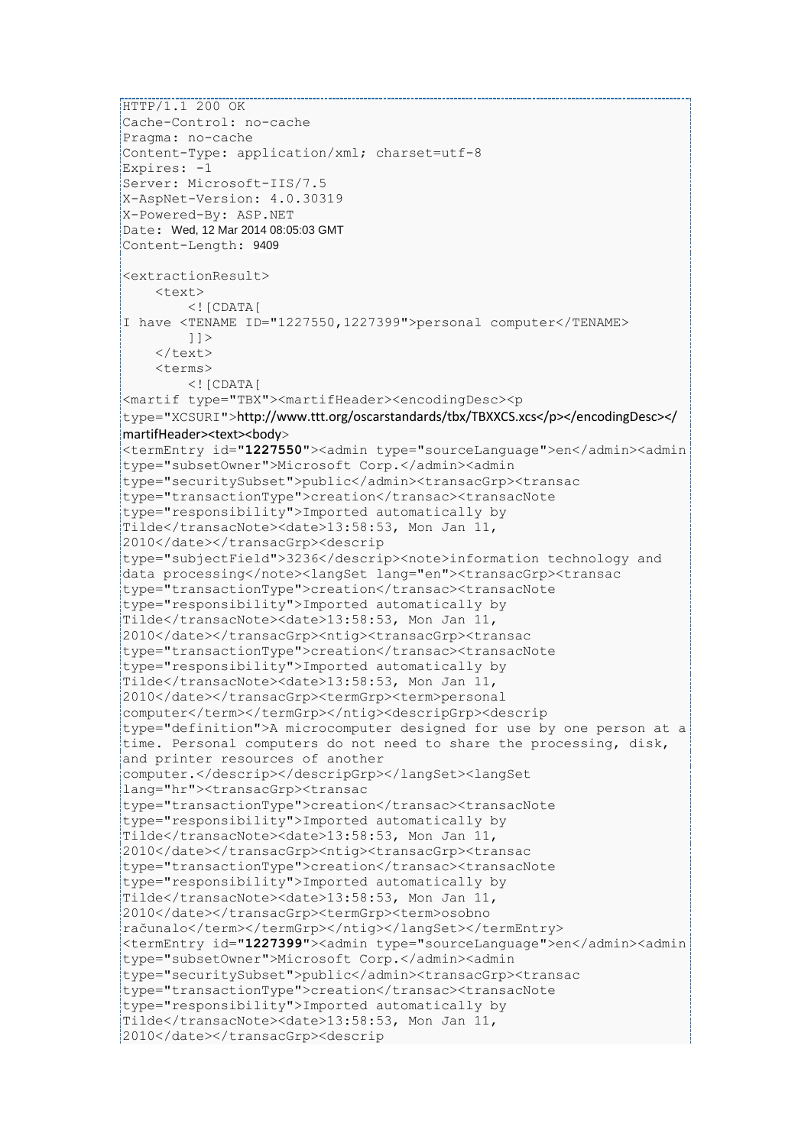```
...............................<br>HTTP/1.1 200 OK
Cache-Control: no-cache
Pragma: no-cache
Content-Type: application/xml; charset=utf-8
Expires: -1
Server: Microsoft-IIS/7.5
X-AspNet-Version: 4.0.30319
X-Powered-By: ASP.NET
Date: Wed, 12 Mar 2014 08:05:03 GMT
Content-Length: 9409
<extractionResult>
     <text>
        \langle! [CDATA [
I have <TENAME ID="1227550,1227399">personal computer</TENAME>
        |] >\langle/text>
    \langle \text{trans}\rangle\langle! [CDATA[
<martif type="TBX"><martifHeader><encodingDesc><p 
type="XCSURI">http://www.ttt.org/oscarstandards/tbx/TBXXCS.xcs</p></encodingDesc></
martifHeader><text><body>
<termEntry id="1227550"><admin type="sourceLanguage">en</admin><admin 
type="subsetOwner">Microsoft Corp.</admin><admin 
type="securitySubset">public</admin><transacGrp><transac 
type="transactionType">creation</transac><transacNote 
type="responsibility">Imported automatically by 
Tilde</transacNote><date>13:58:53, Mon Jan 11, 
2010</date></transacGrp><descrip 
type="subjectField">3236</descrip><note>information technology and 
data processing</note><langSet lang="en"><transacGrp><transac
type="transactionType">creation</transac><transacNote 
type="responsibility">Imported automatically by 
Tilde</transacNote><date>13:58:53, Mon Jan 11, 
2010</date></transacGrp><ntig><transacGrp><transac 
type="transactionType">creation</transac><transacNote 
type="responsibility">Imported automatically by 
Tilde</transacNote><date>13:58:53, Mon Jan 11, 
2010</date></transacGrp><termGrp><term>personal 
computer</term></termGrp></ntig><descripGrp><descrip 
type="definition">A microcomputer designed for use by one person at a 
time. Personal computers do not need to share the processing, disk, 
and printer resources of another 
computer.</descrip></descripGrp></langSet><langSet 
lang="hr"><transacGrp><transac 
type="transactionType">creation</transac><transacNote 
type="responsibility">Imported automatically by 
Tilde</transacNote><date>13:58:53, Mon Jan 11, 
2010</date></transacGrp><ntig><transacGrp><transac 
type="transactionType">creation</transac><transacNote 
type="responsibility">Imported automatically by 
Tilde</transacNote><date>13:58:53, Mon Jan 11, 
2010</date></transacGrp><termGrp><term>osobno 
računalo</term></termGrp></ntig></langSet></termEntry>
<termEntry id="1227399"><admin type="sourceLanguage">en</admin><admin 
type="subsetOwner">Microsoft Corp.</admin><admin 
type="securitySubset">public</admin><transacGrp><transac 
type="transactionType">creation</transac><transacNote 
type="responsibility">Imported automatically by 
Tilde</transacNote><date>13:58:53, Mon Jan 11, 
2010</date></transacGrp><descrip
```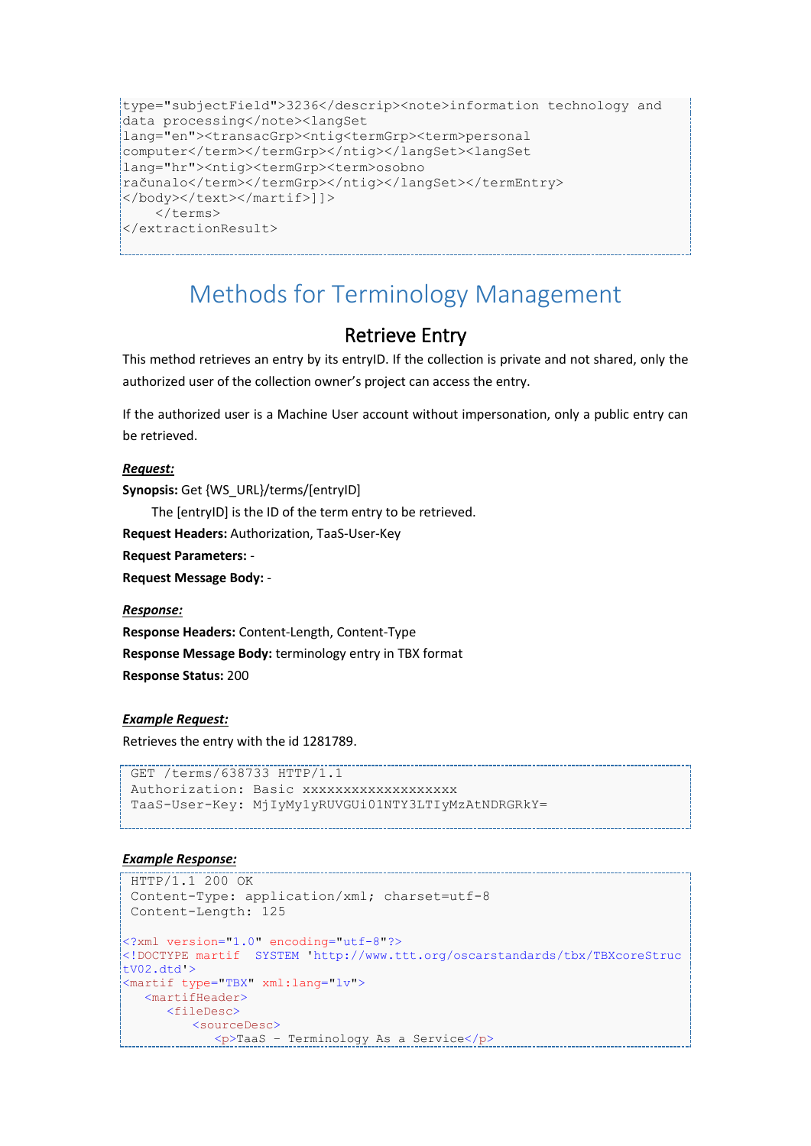```
type="subjectField">3236</descrip><note>information technology and 
data processing</note><langSet 
lang="en"><transacGrp><ntig<termGrp><term>personal 
computer</term></termGrp></ntig></langSet><langSet 
lang="hr"><ntig><termGrp><term>osobno 
računalo</term></termGrp></ntig></langSet></termEntry>
</body></text></martif>]]>
     </terms>
</extractionResult>
```
# <span id="page-8-0"></span>Methods for Terminology Management

## Retrieve Entry

<span id="page-8-1"></span>This method retrieves an entry by its entryID. If the collection is private and not shared, only the authorized user of the collection owner's project can access the entry.

If the authorized user is a Machine User account without impersonation, only a public entry can be retrieved.

#### *Request:*

**Synopsis:** Get {WS\_URL}/terms/[entryID]

The [entryID] is the ID of the term entry to be retrieved.

**Request Headers:** Authorization, TaaS-User-Key

**Request Parameters:** -

**Request Message Body:** -

#### *Response:*

**Response Headers:** Content-Length, Content-Type **Response Message Body:** terminology entry in TBX format **Response Status:** 200

#### *Example Request:*

Retrieves the entry with the id 1281789.

```
GET /terms/638733 HTTP/1.1
Authorization: Basic xxxxxxxxxxxxxxxxxxx
TaaS-User-Key: MjIyMy1yRUVGUi01NTY3LTIyMzAtNDRGRkY=
```

```
HTTP/1.1 200 OK
Content-Type: application/xml; charset=utf-8
Content-Length: 125
<?xml version="1.0" encoding="utf-8"?>
<!DOCTYPE martif SYSTEM 'http://www.ttt.org/oscarstandards/tbx/TBXcoreStruc
tV02.dtd'>
<martif type="TBX" xml:lang="lv">
   <martifHeader>
      <fileDesc>
        <sourceDesc>
            <p>TaaS – Terminology As a Service</p>
```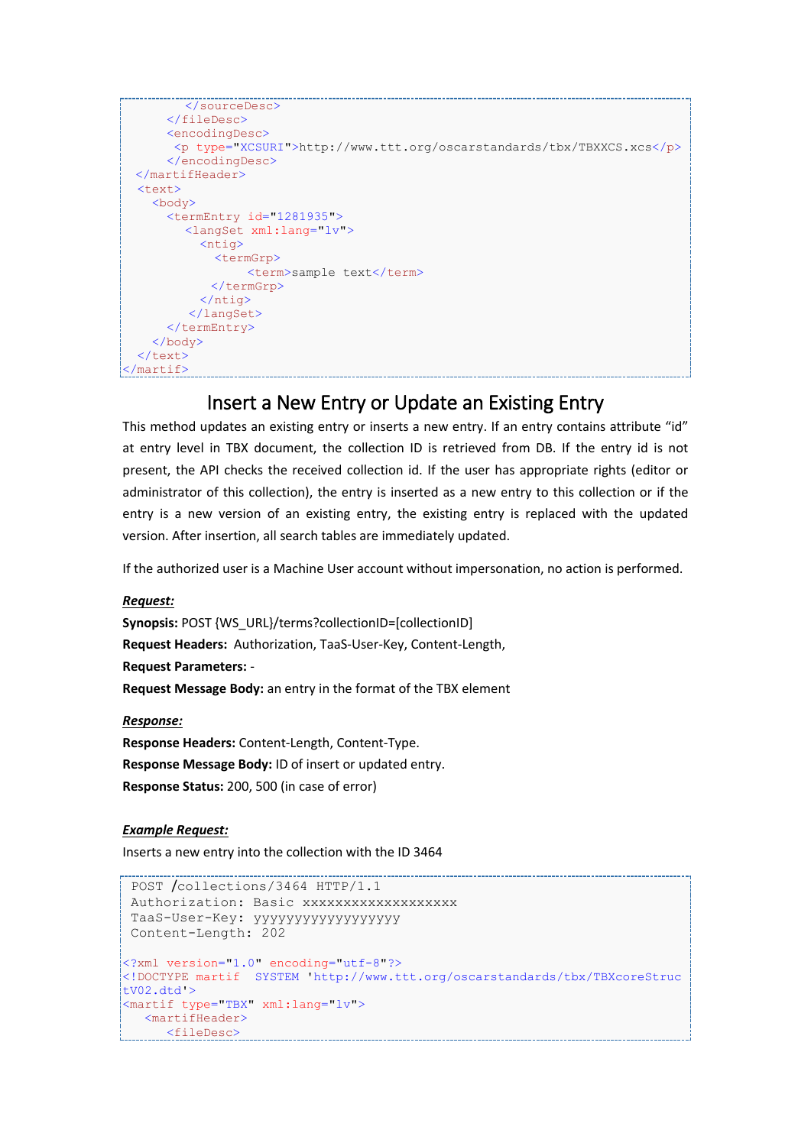```
</sourceDesc>
       </fileDesc>
       <encodingDesc>
        <p type="XCSURI">http://www.ttt.org/oscarstandards/tbx/TBXXCS.xcs</p>
       </encodingDesc>
   </martifHeader>
  <sub>text</sub></sub>
     <body>
       <termEntry id="1281935">
         <langSet xml:lang="lv">
            <ntig>
              <termGrp>
                   <term>sample text</term>
              </termGrp>
            </ntig>
           </langSet>
       </termEntry>
     </body>
  \langle/text>
</martif>
```
### Insert a New Entry or Update an Existing Entry

<span id="page-9-0"></span>This method updates an existing entry or inserts a new entry. If an entry contains attribute "id" at entry level in TBX document, the collection ID is retrieved from DB. If the entry id is not present, the API checks the received collection id. If the user has appropriate rights (editor or administrator of this collection), the entry is inserted as a new entry to this collection or if the entry is a new version of an existing entry, the existing entry is replaced with the updated version. After insertion, all search tables are immediately updated.

If the authorized user is a Machine User account without impersonation, no action is performed.

*Request:*

**Synopsis:** POST {WS\_URL}/terms?collectionID=[collectionID] **Request Headers:** Authorization, TaaS-User-Key, Content-Length, **Request Parameters:** - **Request Message Body:** an entry in the format of the TBX element

*Response:*

**Response Headers:** Content-Length, Content-Type. **Response Message Body:** ID of insert or updated entry. **Response Status:** 200, 500 (in case of error)

#### *Example Request:*

Inserts a new entry into the collection with the ID 3464

```
POST /collections/3464 HTTP/1.1
Authorization: Basic xxxxxxxxxxxxxxxxxx
TaaS-User-Key: yyyyyyyyyyyyyyyyyy
Content-Length: 202
<?xml version="1.0" encoding="utf-8"?>
<!DOCTYPE martif SYSTEM 'http://www.ttt.org/oscarstandards/tbx/TBXcoreStruc
tV02.dtd'>
<martif type="TBX" xml:lang="lv">
   <martifHeader>
   <fileDesc>
```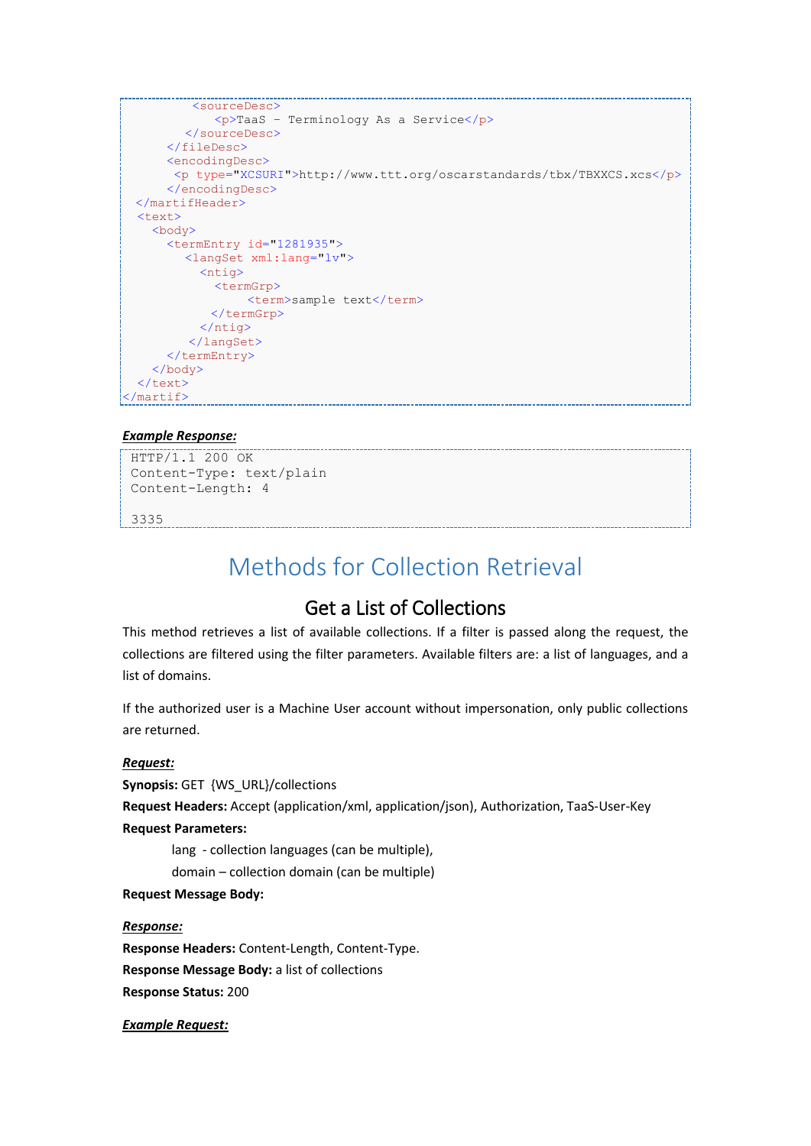```
<sourceDesc>
             <p>TaaS – Terminology As a Service</p>
        </sourceDesc>
      </fileDesc>
      <encodingDesc>
        <p type="XCSURI">http://www.ttt.org/oscarstandards/tbx/TBXXCS.xcs</p>
      </encodingDesc>
  </martifHeader>
  <text>
    <body>
      <termEntry id="1281935">
        <langSet xml:lang="lv">
           <ntig>
             <termGrp>
                 <term>sample text</term>
             </termGrp>
           </ntig>
          </langSet>
      </termEntry>
    </body>
 \langle/text>
</martif>
```
#### *Example Response:*

HTTP/1.1 200 OK Content-Type: text/plain Content-Length: 4

<span id="page-10-0"></span>3335

# Methods for Collection Retrieval

### Get a List of Collections

<span id="page-10-1"></span>This method retrieves a list of available collections. If a filter is passed along the request, the collections are filtered using the filter parameters. Available filters are: a list of languages, and a list of domains.

If the authorized user is a Machine User account without impersonation, only public collections are returned.

#### *Request:*

**Synopsis:** GET {WS\_URL}/collections

**Request Headers:** Accept (application/xml, application/json), Authorization, TaaS-User-Key

#### **Request Parameters:**

lang - collection languages (can be multiple),

domain – collection domain (can be multiple)

#### **Request Message Body:**

#### *Response:*

**Response Headers:** Content-Length, Content-Type. **Response Message Body:** a list of collections **Response Status:** 200

*Example Request:*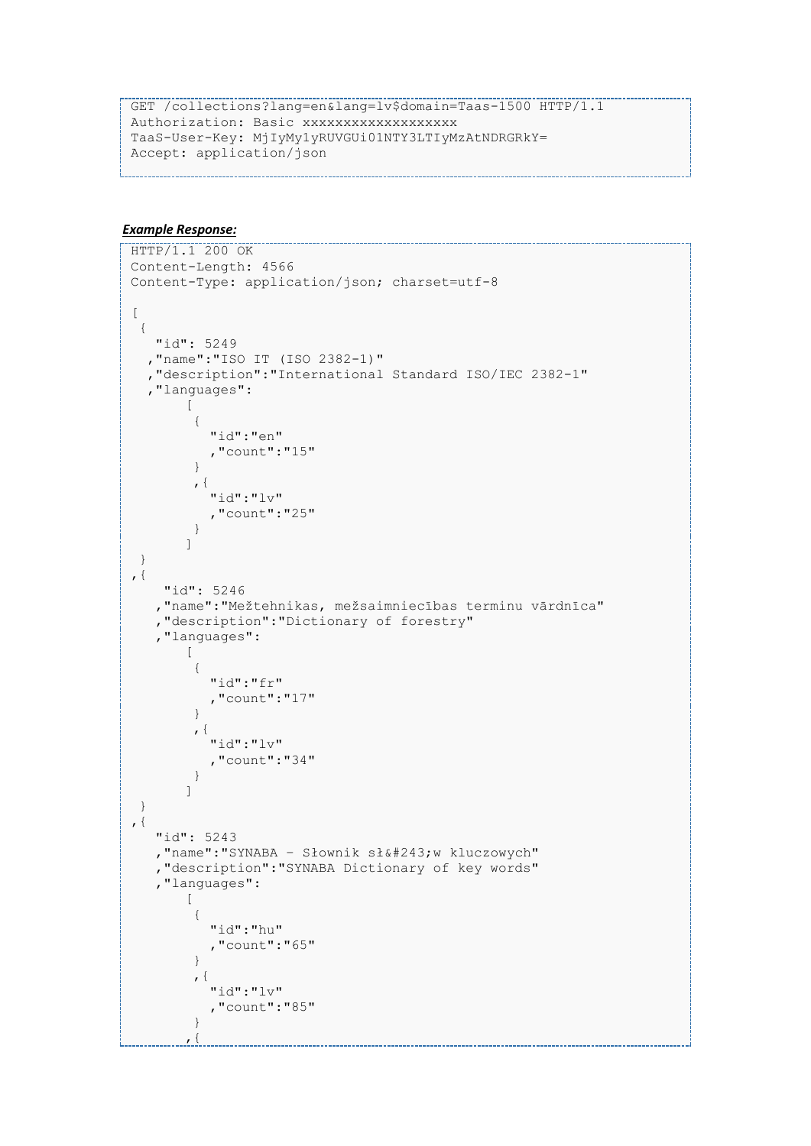```
GET /collections?lang=en&lang=lv$domain=Taas-1500 HTTP/1.1
Authorization: Basic xxxxxxxxxxxxxxxxxxx
TaaS-User-Key: MjIyMy1yRUVGUi01NTY3LTIyMzAtNDRGRkY= 
Accept: application/json
```

```
--------------------------------<br>HTTP/1.1 200 OK
Content-Length: 4566
Content-Type: application/json; charset=utf-8
[
  {
    "id": 5249
   ,"name":"ISO IT (ISO 2382-1)"
   ,"description":"International Standard ISO/IEC 2382-1"
   ,"languages":
        [
         { 
            "id":"en"
             ,"count":"15"
         }
         ,{ 
            "id":"lv"
            ,"count":"25"
         }
        ]
  }
,{
     "id": 5246
    ,"name":"Mežtehnikas, mežsaimniecības terminu vārdnīca"
    ,"description":"Dictionary of forestry"
    ,"languages":
       \lceil{ 
            "id":"fr"
            ,"count":"17"
         }
         ,{ 
            "id":"lv"
            ,"count":"34"
         }
        ]
  }
, \{ "id": 5243
   , "name": "SYNABA - Słownik słów kluczowych"
    ,"description":"SYNABA Dictionary of key words"
    ,"languages":
        \lceil{ 
            "id":"hu"
            ,"count":"65"
         }
         ,{ 
            "id":"lv"
            ,"count":"85"
         }
        , \{
```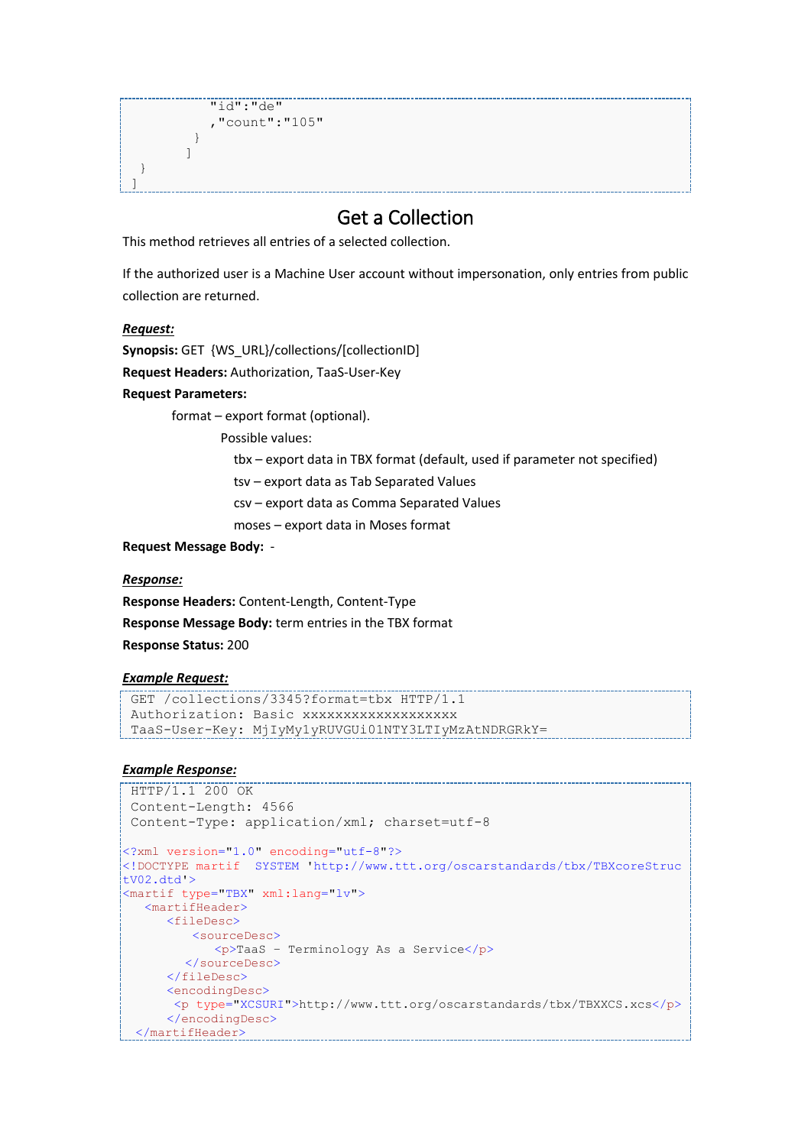```
 "id":"de"
    ,"count":"105"
 }
]
```
### Get a Collection

<span id="page-12-0"></span>This method retrieves all entries of a selected collection.

If the authorized user is a Machine User account without impersonation, only entries from public collection are returned.

#### *Request:*

 }  $\mathbf{I}$ 

**Synopsis:** GET {WS\_URL}/collections/[collectionID]

**Request Headers:** Authorization, TaaS-User-Key

#### **Request Parameters:**

format – export format (optional).

Possible values:

tbx – export data in TBX format (default, used if parameter not specified)

tsv – export data as Tab Separated Values

csv – export data as Comma Separated Values

moses – export data in Moses format

#### **Request Message Body:** -

*Response:*

**Response Headers:** Content-Length, Content-Type **Response Message Body:** term entries in the TBX format **Response Status:** 200

#### *Example Request:*

```
GET /collections/3345?format=tbx HTTP/1.1
Authorization: Basic xxxxxxxxxxxxxxxxxx
TaaS-User-Key: MjIyMy1yRUVGUi01NTY3LTIyMzAtNDRGRkY=
```

```
HTTP/1.1 200 OK
Content-Length: 4566
Content-Type: application/xml; charset=utf-8
<?xml version="1.0" encoding="utf-8"?>
<!DOCTYPE martif SYSTEM 'http://www.ttt.org/oscarstandards/tbx/TBXcoreStruc
tV02.dtd'>
<martif type="TBX" xml:lang="lv">
   <martifHeader>
      <fileDesc>
         <sourceDesc>
             <p>TaaS – Terminology As a Service</p>
        </sourceDesc>
      </fileDesc>
      <encodingDesc>
       <p type="XCSURI">http://www.ttt.org/oscarstandards/tbx/TBXXCS.xcs</p>
      </encodingDesc>
  </martifHeader>
```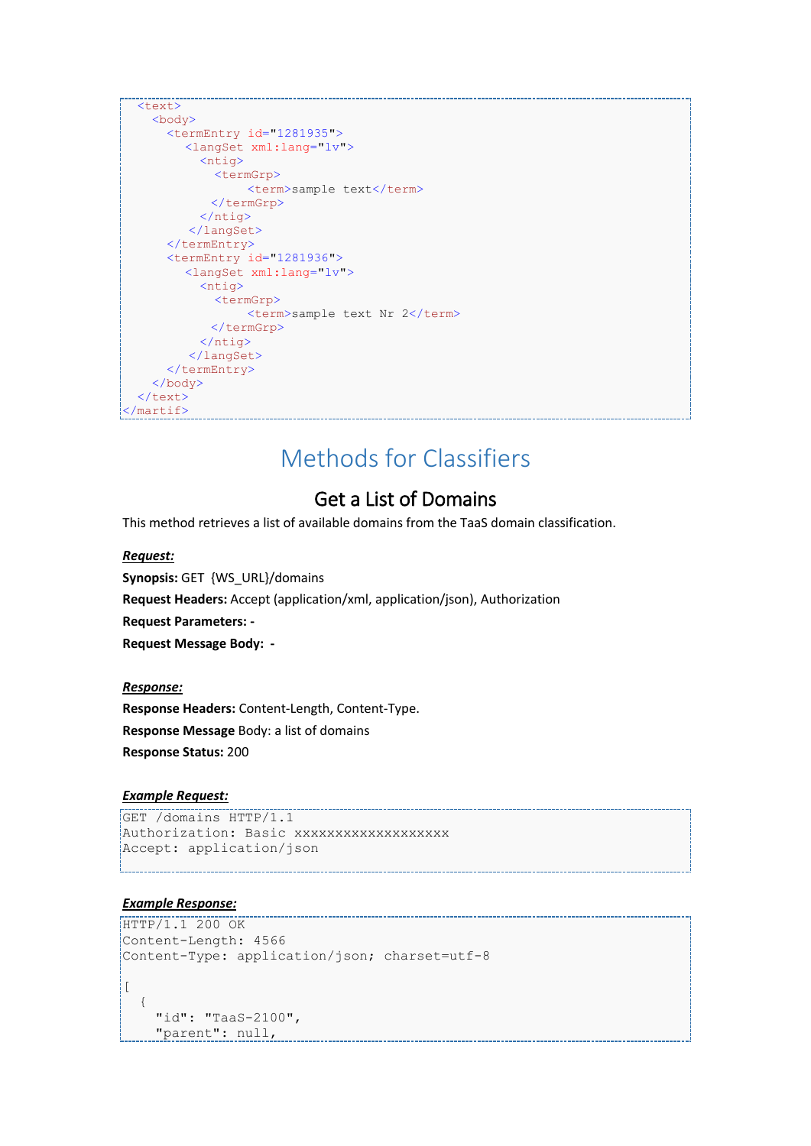```
 <text>
    <body>
      <termEntry id="1281935">
        <langSet xml:lang="lv">
           <ntig>
              <termGrp>
                 <term>sample text</term>
             </termGrp>
           </ntig>
          </langSet>
       </termEntry>
       <termEntry id="1281936">
        <langSet xml:lang="lv">
           <ntig>
              <termGrp>
                 <term>sample text Nr 2</term>
             </termGrp>
           </ntig>
          </langSet>
      </termEntry>
    </body>
 \langle/text>
</martif>
```
# Methods for Classifiers

### Get a List of Domains

<span id="page-13-1"></span><span id="page-13-0"></span>This method retrieves a list of available domains from the TaaS domain classification.

#### *Request:*

**Synopsis:** GET {WS\_URL}/domains **Request Headers:** Accept (application/xml, application/json), Authorization **Request Parameters: - Request Message Body: -**

#### *Response:*

**Response Headers:** Content-Length, Content-Type. **Response Message** Body: a list of domains **Response Status:** 200

#### *Example Request:*

```
GET /domains HTTP/1.1
Authorization: Basic xxxxxxxxxxxxxxxxxx
Accept: application/json
```

```
HTTP/1.1 200 OK
Content-Length: 4566
Content-Type: application/json; charset=utf-8
\lceil{
    "id": "TaaS-2100",
     "parent": null,
```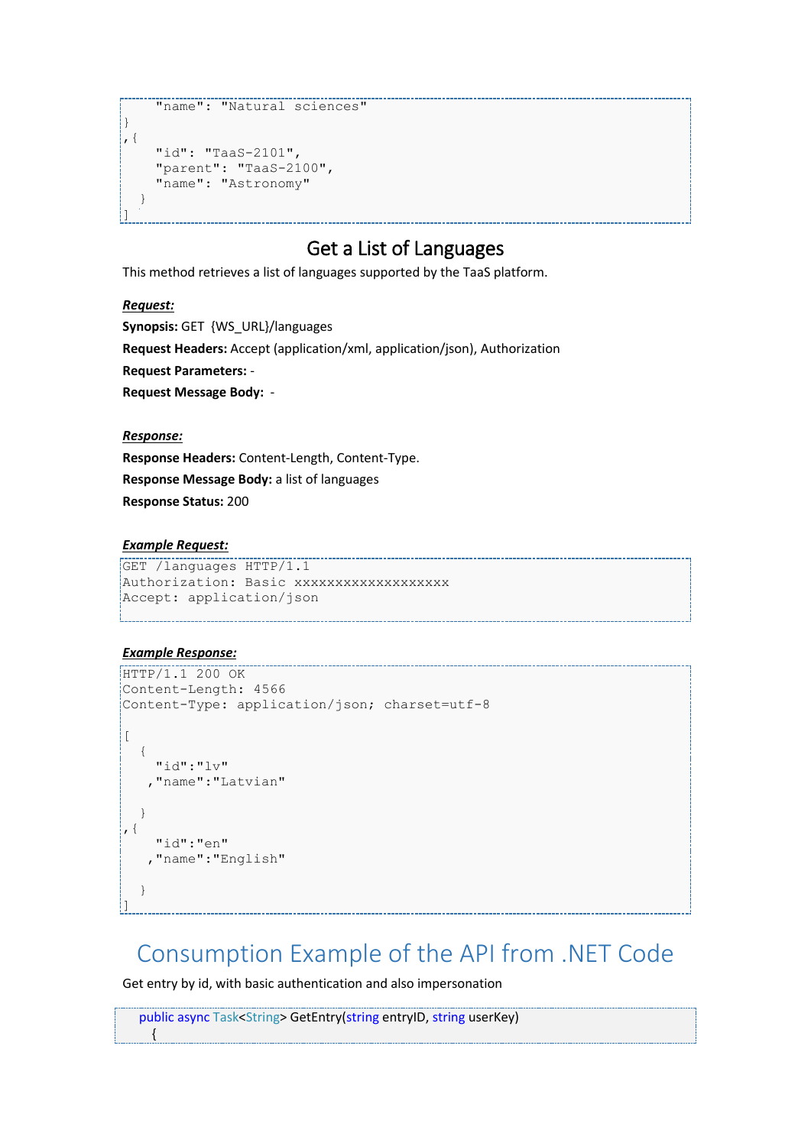```
 "name": "Natural sciences"
}
, \{"id": "TaaS-2101",
                      "parent": "TaaS-2100",
                      "name": "Astronomy"
          }
\begin{array}{c} \rule{0pt}{2.5ex} \rule{0pt}{2.5ex} \rule{0pt}{2.5ex} \rule{0pt}{2.5ex} \rule{0pt}{2.5ex} \rule{0pt}{2.5ex} \rule{0pt}{2.5ex} \rule{0pt}{2.5ex} \rule{0pt}{2.5ex} \rule{0pt}{2.5ex} \rule{0pt}{2.5ex} \rule{0pt}{2.5ex} \rule{0pt}{2.5ex} \rule{0pt}{2.5ex} \rule{0pt}{2.5ex} \rule{0pt}{2.5ex} \rule{0pt}{2.5ex} \rule{0pt}{2.5ex} \rule{0pt}{2.5ex} \rule{0
```
# Get a List of Languages

<span id="page-14-0"></span>This method retrieves a list of languages supported by the TaaS platform.

#### *Request:*

**Synopsis:** GET {WS\_URL}/languages **Request Headers:** Accept (application/xml, application/json), Authorization **Request Parameters:** - **Request Message Body:** -

*Response:*

**Response Headers:** Content-Length, Content-Type. **Response Message Body:** a list of languages **Response Status:** 200

#### *Example Request:*

```
GET /languages HTTP/1.1
Authorization: Basic xxxxxxxxxxxxxxxxxxx
Accept: application/json
```
#### *Example Response:*

{

```
HTTP/1.1 200 OK
Content-Length: 4566
Content-Type: application/json; charset=utf-8
\lbrack{
     "id":"lv"
     ,"name":"Latvian"
  }
, \{"id":"en"
     ,"name":"English"
  }
\overline{1}
```
# <span id="page-14-1"></span>Consumption Example of the API from .NET Code

Get entry by id, with basic authentication and also impersonation

public async Task<String> GetEntry(string entryID, string userKey)